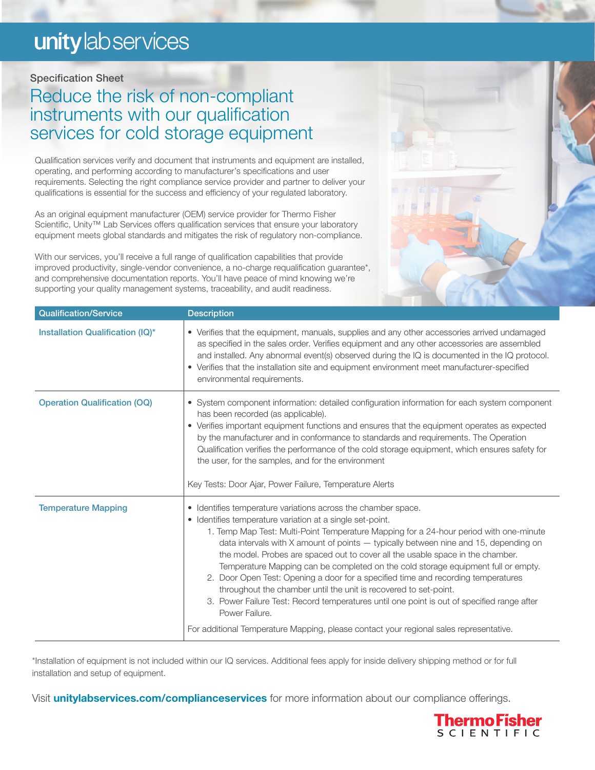# unity lab services

### Specification Sheet

## Reduce the risk of non-compliant instruments with our qualification services for cold storage equipment

Qualification services verify and document that instruments and equipment are installed, operating, and performing according to manufacturer's specifications and user requirements. Selecting the right compliance service provider and partner to deliver your qualifications is essential for the success and efficiency of your regulated laboratory.

As an original equipment manufacturer (OEM) service provider for Thermo Fisher Scientific, Unity<sup>™</sup> Lab Services offers qualification services that ensure your laboratory equipment meets global standards and mitigates the risk of regulatory non-compliance.

With our services, you'll receive a full range of qualification capabilities that provide improved productivity, single-vendor convenience, a no-charge requalification guarantee\*, and comprehensive documentation reports. You'll have peace of mind knowing we're supporting your quality management systems, traceability, and audit readiness.



| <b>Qualification/Service</b>        | <b>Description</b>                                                                                                                                                                                                                                                                                                                                                                                                                                                                                                                                                                                                                                                                                                                                                                                                                                         |
|-------------------------------------|------------------------------------------------------------------------------------------------------------------------------------------------------------------------------------------------------------------------------------------------------------------------------------------------------------------------------------------------------------------------------------------------------------------------------------------------------------------------------------------------------------------------------------------------------------------------------------------------------------------------------------------------------------------------------------------------------------------------------------------------------------------------------------------------------------------------------------------------------------|
| Installation Qualification (IQ)*    | • Verifies that the equipment, manuals, supplies and any other accessories arrived undamaged<br>as specified in the sales order. Verifies equipment and any other accessories are assembled<br>and installed. Any abnormal event(s) observed during the IQ is documented in the IQ protocol.<br>• Verifies that the installation site and equipment environment meet manufacturer-specified<br>environmental requirements.                                                                                                                                                                                                                                                                                                                                                                                                                                 |
| <b>Operation Qualification (OQ)</b> | • System component information: detailed configuration information for each system component<br>has been recorded (as applicable).<br>• Verifies important equipment functions and ensures that the equipment operates as expected<br>by the manufacturer and in conformance to standards and requirements. The Operation<br>Qualification verifies the performance of the cold storage equipment, which ensures safety for<br>the user, for the samples, and for the environment<br>Key Tests: Door Ajar, Power Failure, Temperature Alerts                                                                                                                                                                                                                                                                                                               |
| <b>Temperature Mapping</b>          | • Identifies temperature variations across the chamber space.<br>• Identifies temperature variation at a single set-point.<br>1. Temp Map Test: Multi-Point Temperature Mapping for a 24-hour period with one-minute<br>data intervals with $X$ amount of points $-$ typically between nine and 15, depending on<br>the model. Probes are spaced out to cover all the usable space in the chamber.<br>Temperature Mapping can be completed on the cold storage equipment full or empty.<br>2. Door Open Test: Opening a door for a specified time and recording temperatures<br>throughout the chamber until the unit is recovered to set-point.<br>3. Power Failure Test: Record temperatures until one point is out of specified range after<br>Power Failure.<br>For additional Temperature Mapping, please contact your regional sales representative. |

\*Installation of equipment is not included within our IQ services. Additional fees apply for inside delivery shipping method or for full installation and setup of equipment.

Visit **[unitylabservices.com/complianceservices](http://unitylabservices.com/complianceservices)** for more information about our compliance offerings.